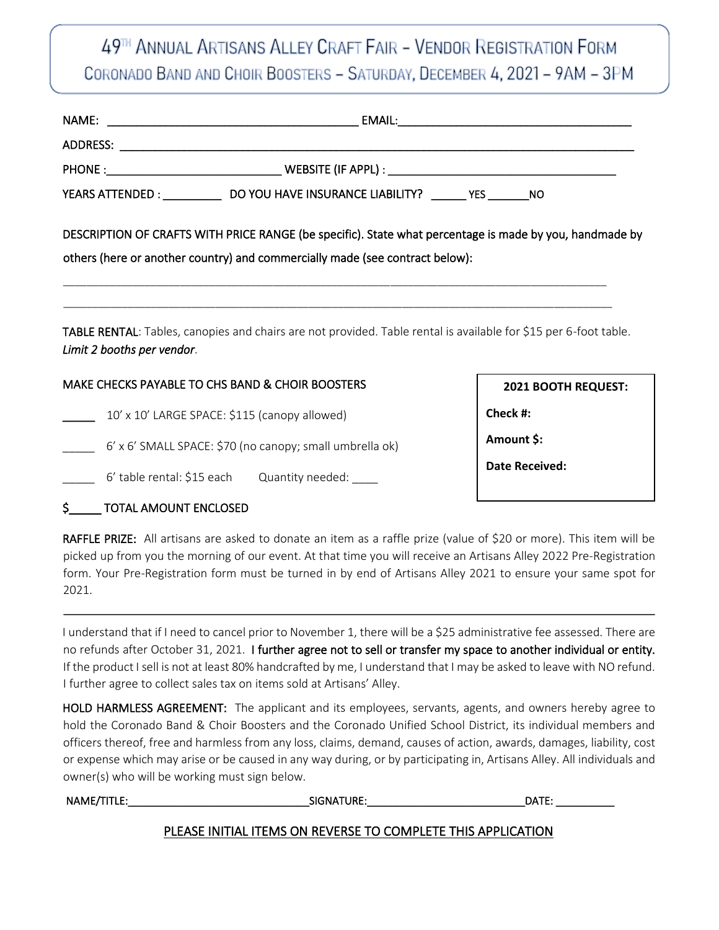# 49TH ANNUAL ARTISANS ALLEY CRAFT FAIR - VENDOR REGISTRATION FORM CORONADO BAND AND CHOIR BOOSTERS - SATURDAY, DECEMBER 4, 2021 - 9AM - 3PM

|                                                          | YEARS ATTENDED : ______________________DO YOU HAVE INSURANCE LIABILITY? ________YES _________NO |                                                                                                                  |
|----------------------------------------------------------|-------------------------------------------------------------------------------------------------|------------------------------------------------------------------------------------------------------------------|
|                                                          | others (here or another country) and commercially made (see contract below):                    | DESCRIPTION OF CRAFTS WITH PRICE RANGE (be specific). State what percentage is made by you, handmade by          |
| Limit 2 booths per vendor.                               |                                                                                                 | TABLE RENTAL: Tables, canopies and chairs are not provided. Table rental is available for \$15 per 6-foot table. |
| MAKE CHECKS PAYABLE TO CHS BAND & CHOIR BOOSTERS         | 2021 BOOTH REQUEST:                                                                             |                                                                                                                  |
| 10' x 10' LARGE SPACE: \$115 (canopy allowed)            |                                                                                                 | Check #:                                                                                                         |
| 6' x 6' SMALL SPACE: \$70 (no canopy; small umbrella ok) | Amount \$:                                                                                      |                                                                                                                  |
|                                                          | 6' table rental: \$15 each Quantity needed: ____                                                | <b>Date Received:</b>                                                                                            |
|                                                          |                                                                                                 |                                                                                                                  |

#### \$\_\_\_\_\_ TOTAL AMOUNT ENCLOSED

RAFFLE PRIZE: All artisans are asked to donate an item as a raffle prize (value of \$20 or more). This item will be picked up from you the morning of our event. At that time you will receive an Artisans Alley 2022 Pre-Registration form. Your Pre-Registration form must be turned in by end of Artisans Alley 2021 to ensure your same spot for 2021.

I understand that if I need to cancel prior to November 1, there will be a \$25 administrative fee assessed. There are no refunds after October 31, 2021. I further agree not to sell or transfer my space to another individual or entity. If the product I sell is not at least 80% handcrafted by me, I understand that I may be asked to leave with NO refund. I further agree to collect sales tax on items sold at Artisans' Alley.

HOLD HARMLESS AGREEMENT: The applicant and its employees, servants, agents, and owners hereby agree to hold the Coronado Band & Choir Boosters and the Coronado Unified School District, its individual members and officers thereof, free and harmless from any loss, claims, demand, causes of action, awards, damages, liability, cost or expense which may arise or be caused in any way during, or by participating in, Artisans Alley. All individuals and owner(s) who will be working must sign below.

| NAME/TITLE: | SIGNATURE:                                                   | DATE: |
|-------------|--------------------------------------------------------------|-------|
|             | PLEASE INITIAL ITEMS ON REVERSE TO COMPLETE THIS APPLICATION |       |